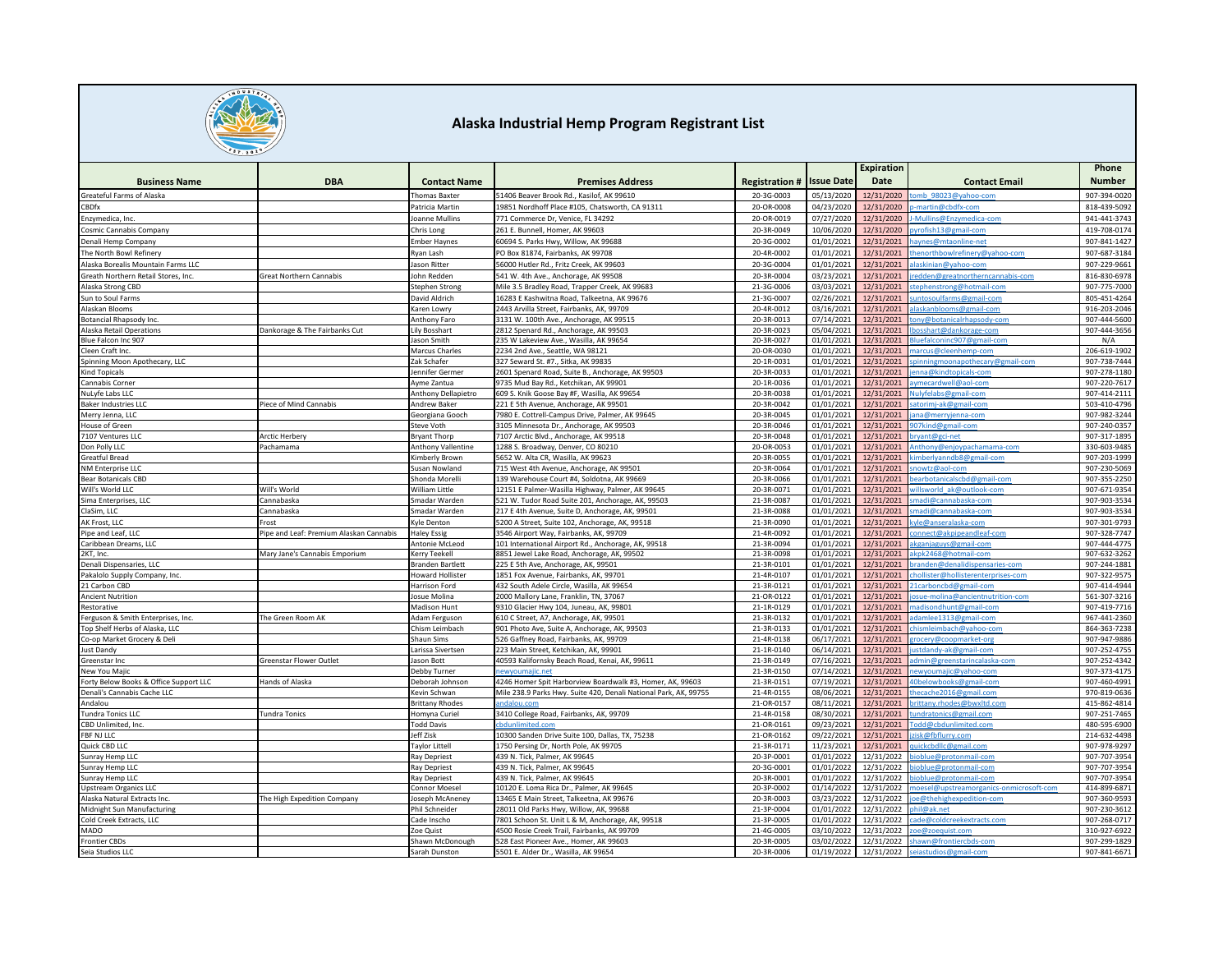

|                                        |                                         |                                      |                                                                                                      |                          |                         | <b>Expiration</b>        |                                            | Phone                        |
|----------------------------------------|-----------------------------------------|--------------------------------------|------------------------------------------------------------------------------------------------------|--------------------------|-------------------------|--------------------------|--------------------------------------------|------------------------------|
| <b>Business Name</b>                   | <b>DBA</b>                              | <b>Contact Name</b>                  | <b>Premises Address</b>                                                                              | <b>Registration#</b>     | <b>Issue Date</b>       | Date                     | <b>Contact Email</b>                       | <b>Number</b>                |
| Greateful Farms of Alaska              |                                         | <b>Thomas Baxter</b>                 | 51406 Beaver Brook Rd., Kasilof, AK 99610                                                            | 20-3G-0003               | 05/13/2020              | 12/31/2020               | mb 98023@yahoo-com                         | 907-394-0020                 |
| <b>CBDfx</b>                           |                                         | Patricia Martin                      | 19851 Nordhoff Place #105, Chatsworth, CA 91311                                                      | 20-OR-0008               | 04/23/202               | 12/31/2020               | martin@cbdfx-com                           | 818-439-509                  |
| Enzymedica, Inc.                       |                                         | Ioanne Mullins                       | 771 Commerce Dr, Venice, FL 34292                                                                    | 20-OR-0019               | 07/27/2020              | 12/31/2020               | Mullins@Enzymedica-com                     | 941-441-3743                 |
| Cosmic Cannabis Company                |                                         | Chris Long                           | 261 E. Bunnell, Homer, AK 99603                                                                      | 20-3R-0049               | 10/06/2020              | 12/31/2020               | vrofish13@gmail-com                        | 419-708-0174                 |
| Denali Hemp Company                    |                                         | mber Haynes                          | 50694 S. Parks Hwy, Willow, AK 99688                                                                 | 20-3G-0002               | 01/01/202               | 12/31/2021               | aynes@mtaonline-net                        | 907-841-1427                 |
| The North Bowl Refinery                |                                         | <b>kyan Lash</b>                     | PO Box 81874, Fairbanks, AK 99708                                                                    | 20-4R-0002               | 01/01/202               | 12/31/2021               | henorthbowlrefinery@yahoo-com              | 907-687-3184                 |
| Alaska Borealis Mountain Farms LLC     |                                         | lason Ritter                         | 56000 Hutler Rd., Fritz Creek, AK 99603                                                              | 20-3G-0004               | 01/01/202               | 12/31/2021               | laskinian@yahoo-com                        | 907-229-9661                 |
| ireath Northern Retail Stores, Inc.    | Great Northern Cannabis                 | Iohn Redden                          | 541 W. 4th Ave., Anchorage, AK 99508                                                                 | 20-3R-0004               | 03/23/2021              | 12/31/2021               | edden@greatnortherncannabis-com            | 816-830-6978                 |
| Alaska Strong CBD                      |                                         | Stephen Strong                       | Mile 3.5 Bradley Road, Trapper Creek, AK 99683                                                       | 21-3G-0006               | 03/03/202               | 12/31/2021               | ephenstrong@hotmail-com                    | 907-775-7000                 |
| Sun to Soul Farms                      |                                         | David Aldrich                        | 16283 E Kashwitna Road, Talkeetna, AK 99676                                                          | 21-3G-0007               | 02/26/2021              | 12/31/2021               | ntosoulfarms@gmail-com                     | 805-451-4264                 |
| Alaskan Blooms                         |                                         | Karen Lowry                          | 2443 Arvilla Street, Fairbanks, AK, 99709                                                            | 20-4R-0012               | 03/16/2021              | 12/31/2021               | laskanblooms@gmail-com                     | 916-203-2046                 |
| Botancial Rhapsody Inc.                |                                         | Anthony Faro                         | 3131 W. 100th Ave., Anchorage, AK 99515                                                              | 20-3R-0013               | 07/14/202               | 12/31/2021               | w@hotanicalrhansody-com                    | 907-444-5600                 |
| Alaska Retail Operations               | Dankorage & The Fairbanks Cut           | Lily Bosshart                        | 2812 Spenard Rd., Anchorage, AK 99503                                                                | 20-3R-0023               | 05/04/202               | 12/31/2021               | osshart@dankorage-com                      | 907-444-3656                 |
| Blue Falcon Inc 907                    |                                         | Jason Smith                          | 235 W Lakeview Ave., Wasilla, AK 99654                                                               | 20-3R-0027               | 01/01/2021              | 12/31/2021               | luefalconinc907@gmail-com                  | N/A                          |
| Cleen Craft Inc.                       |                                         | Marcus Charles                       | 2234 2nd Ave., Seattle, WA 98121                                                                     | 20-OR-0030               | 01/01/202               | 12/31/2021               | arcus@cleenhemp-com                        | 206-619-1902                 |
| Spinning Moon Apothecary, LLC          |                                         | Zak Schafer                          | 327 Seward St. #7., Sitka, AK 99835                                                                  | 20-1R-0031               | 01/01/202               | 12/31/2021               | vinningmoonapothecary@gmail-com            | 907-738-7444                 |
| ind Topicals                           |                                         | ennifer Germer                       | 2601 Spenard Road, Suite B., Anchorage, AK 99503                                                     | 20-3R-0033               | 01/01/202               | 12/31/2021               | nna@kindtopicals-com                       | 907-278-1180                 |
| Cannabis Corner                        |                                         | Ayme Zantua                          | 9735 Mud Bay Rd., Ketchikan, AK 99901                                                                | 20-1R-0036               | 01/01/2021              | 12/31/2021               | ymecardwell@aol-com                        | 907-220-7617                 |
| NuLyfe Labs LLC                        |                                         | <b>Anthony Dellapietro</b>           | 509 S. Knik Goose Bay #F, Wasilla, AK 99654                                                          | 20-3R-0038               | 01/01/202               | 12/31/2021               | ulyfelabs@gmail-con                        | 907-414-2111                 |
| <b>Baker Industries LLC</b>            | Piece of Mind Cannabis                  | Andrew Baker                         | 221 E 5th Avenue, Anchorage, AK 99501                                                                | 20-3R-0042               | 01/01/202               | 12/31/2021               | atorimi-ak@gmail-con                       | 503-410-4796                 |
| Merry Jenna, LLC                       |                                         | Georgiana Gooch                      | 7980 E. Cottrell-Campus Drive, Palmer, AK 99645                                                      | 20-3R-0045               | 01/01/202               | 12/31/2021               | na@merryjenna-com                          | 907-982-3244                 |
| House of Green                         |                                         | Steve Voth                           | 3105 Minnesota Dr., Anchorage, AK 99503                                                              | 20-3R-0046               | 01/01/2021              | 12/31/2021               | 07kind@gmail-com                           | 907-240-0357                 |
| 7107 Ventures LLC                      | <b>Arctic Herbery</b>                   | <b>Bryant Thorp</b>                  | 7107 Arctic Blvd., Anchorage, AK 99518                                                               | 20-3R-0048               | 01/01/202               | 12/31/2021               | vant@gci-net                               | 907-317-1895                 |
| Don Polly LLC                          | achamama                                | <b>Anthony Vallentine</b>            | 1288 S. Broadway, Denver, CO 80210                                                                   | 20-OR-0053               | 01/01/202               | 12/31/2021               | hthony@enjoypachamama-com                  | 330-603-9485                 |
| Greatful Bread                         |                                         | imberly Brown                        | 5652 W. Alta CR, Wasilla, AK 99623                                                                   | 20-3R-0055               | 01/01/2021              | 12/31/2021               | mberlyanndb8@gmail-com                     | 907-203-1999                 |
| NM Enterprise LLC                      |                                         | Susan Nowland                        | 715 West 4th Avenue, Anchorage, AK 99501                                                             | 20-3R-0064               | 01/01/202               | 12/31/2021               | nowtz@aol-com                              | 907-230-5069                 |
| <b>Bear Botanicals CBD</b>             |                                         | Shonda Morell                        | 139 Warehouse Court #4, Soldotna, AK 99669                                                           | 20-3R-0066               | 01/01/202               | 12/31/2021               | arbotanicalscbd@gmail-cor                  | 907-355-2250                 |
| Will's World LLC                       | Will's World                            | William Little                       | 12151 E Palmer-Wasilla Highway, Palmer, AK 99645                                                     | 20-3R-0071               | 01/01/2021              | 12/31/2021               | illsworld_ak@outlook-com                   | 907-671-9354                 |
| Sima Enterprises, LLC<br>laSim, LLC    | Cannabaska<br>Cannabaska                | Smadar Warder<br>Smadar Warden       | 521 W. Tudor Road Suite 201, Anchorage, AK, 99503<br>217 E 4th Avenue, Suite D, Anchorage, AK, 99501 | 21-3R-0087<br>21-3R-0088 | 01/01/2021<br>01/01/202 | 12/31/2021<br>12/31/2021 | nadi@cannabaska-com<br>hadi@cannahaska-com | 907-903-3534<br>907-903-3534 |
|                                        | Frost                                   |                                      |                                                                                                      |                          |                         |                          | le@anseralaska-com                         |                              |
| AK Frost, LLC<br>Pipe and Leaf, LLC    | Pipe and Leaf: Premium Alaskan Cannabis | vle Denton                           | 5200 A Street, Suite 102, Anchorage, AK, 99518<br>3546 Airport Way, Fairbanks, AK, 99709             | 21-3R-0090<br>21-4R-0092 | 01/01/202<br>01/01/2021 | 12/31/2021<br>12/31/2021 | onnect@akpipeandleaf-com                   | 907-301-9793<br>907-328-7747 |
| Caribbean Dreams, LLC                  |                                         | <b>Haley Essig</b><br>Antonie McLeod | 101 International Airport Rd., Anchorage, AK, 99518                                                  | 21-3R-0094               | 01/01/202               | 12/31/2021               | kganjaguvs@gmail-com                       | 907-444-4775                 |
| 2KT, Inc.                              | Mary Jane's Cannabis Emporium           | Cerry Teekel                         | 8851 Jewel Lake Road, Anchorage, AK, 99502                                                           | 21-3R-0098               | 01/01/202               | 12/31/2021               | kpk2468@hotmail-com                        | 907-632-3262                 |
| Denali Dispensaries, LLC               |                                         | Branden Bartlett                     | 225 E 5th Ave, Anchorage, AK, 99501                                                                  | 21-3R-0101               | 01/01/2021              | 12/31/2021               | anden@denalidispensaries-com               | 907-244-1881                 |
| Pakalolo Supply Company, Inc.          |                                         | Howard Hollister                     | 1851 Fox Avenue, Fairbanks, AK, 99701                                                                | 21-4R-0107               | 01/01/2021              | 12/31/2021               | hollister@hollisterenterprises-com         | 907-322-9575                 |
| 21 Carbon CBD                          |                                         | Harrison Ford                        | 432 South Adele Circle, Wasilla, AK 99654                                                            | 21-3R-0121               | 01/01/2021              | 12/31/2021               | 1carbonchd@gmail-com                       | 907-414-4944                 |
| <b>Ancient Nutrition</b>               |                                         | osue Molina                          | 2000 Mallory Lane, Franklin, TN, 37067                                                               | 21-OR-0122               | 01/01/202               | 12/31/2021               | sue-molina@ancientnutrition-com            | 561-307-3216                 |
| Restorative                            |                                         | Madison Hunt                         | 9310 Glacier Hwy 104, Juneau, AK, 99801                                                              | 21-1R-0129               | 01/01/2021              | 12/31/2021               | adisondhunt@gmail-com                      | 907-419-7716                 |
| Ferguson & Smith Enterprises, Inc.     | The Green Room AK                       | Adam Ferguson                        | 510 C Street, A7, Anchorage, AK, 99501                                                               | 21-3R-0132               | 01/01/202               | 12/31/2021               | damlee1313@gmail-com                       | 967-441-2360                 |
| Top Shelf Herbs of Alaska, LLC         |                                         | Chism Leimbach                       | 901 Photo Ave, Suite A, Anchorage, AK, 99503                                                         | 21-3R-0133               | 01/01/202               | 12/31/2021               | hismleimbach@yahoo-com                     | 864-363-7238                 |
| Co-op Market Grocery & Deli            |                                         | Shaun Sims                           | 526 Gaffney Road, Fairbanks, AK, 99709                                                               | 21-4R-0138               | 06/17/202               | 12/31/2021               | rocery@coopmarket-org                      | 907-947-9886                 |
| <b>Just Dandy</b>                      |                                         | arissa Sivertsen                     | 223 Main Street, Ketchikan, AK, 99901                                                                | 21-1R-0140               | 06/14/2021              | 12/31/2021               | stdandy-ak@gmail-com                       | 907-252-4755                 |
| Greenstar Inc                          | Greenstar Flower Outlet                 | lason Bott                           | 40593 Kalifornsky Beach Road, Kenai, AK, 99611                                                       | 21-3R-0149               | 07/16/202               | 12/31/2021               | dmin@greenstarincalaska-com                | 907-252-4342                 |
| New You Majic                          |                                         | Debby Turner                         |                                                                                                      | 21-3R-0150               | 07/14/202               | 12/31/2021               | wyoumajic@yahoo-con                        | 907-373-4175                 |
| Forty Below Books & Office Support LLC | Hands of Alaska                         | Deborah Johnson                      | 4246 Homer Spit Harborview Boardwalk #3, Homer, AK, 99603                                            | 21-3R-0151               | 07/19/2021              | 12/31/2021               | Obelowbooks@gmail-com                      | 907-460-4991                 |
| Denali's Cannabis Cache LLC            |                                         | Kevin Schwan                         | Mile 238.9 Parks Hwy. Suite 420, Denali National Park, AK, 99755                                     | 21-4R-0155               | 08/06/202               | 12/31/2021               | hecache2016@gmail.com                      | 970-819-0636                 |
| Andalou                                |                                         | Brittany Rhodes                      | ndalou.co                                                                                            | 21-OR-0157               | 08/11/202               | 12/31/2021               | ittany.rhodes@bwxltd.co                    | 415-862-4814                 |
| undra Tonics LLC                       | <b>Tundra Tonics</b>                    | Homyna Curiel                        | 3410 College Road, Fairbanks, AK, 99709                                                              | 21-4R-0158               | 08/30/202               | 12/31/2021               | ndratonics@gmail.com                       | 907-251-7465                 |
| CBD Unlimited, Inc.                    |                                         | odd Davis                            | bdunlimited.com                                                                                      | 21-OR-0161               | 09/23/202               | 12/31/2021               | dd@cbdunlimited.com                        | 480-595-6900                 |
| FBF NJ LLC                             |                                         | leff Zisk                            | 10300 Sanden Drive Suite 100, Dallas, TX, 75238                                                      | 21-OR-0162               | 09/22/202               | 12/31/2021               | isk@fbflurry.com                           | 214-632-4498                 |
| Quick CBD LLC                          |                                         | <b>Taylor Littel</b>                 | 1750 Persing Dr, North Pole, AK 99705                                                                | 21-3R-0171               | 11/23/202               | 12/31/2021               | ckcbdllc@gmail.com                         | 907-978-9297                 |
| Sunray Hemp LLC                        |                                         | <b>Ray Depriest</b>                  | 439 N. Tick, Palmer, AK 99645                                                                        | 20-3P-0001               | 01/01/2022              | 12/31/2022               | blue@protonmail-com                        | 907-707-3954                 |
| Sunray Hemp LLC                        |                                         | ay Depriest                          | 439 N. Tick, Palmer, AK 99645                                                                        | 20-3G-0001               | 01/01/2022              | 12/31/2022               | bblue@protonmail-com                       | 907-707-3954                 |
| unray Hemp LLC                         |                                         | Ray Depriest                         | 439 N. Tick. Palmer. AK 99645                                                                        | 20-3R-0001               | 01/01/202               | 12/31/2022               | blue@protonmail-com                        | 907-707-3954                 |
| <b>Upstream Organics LLC</b>           |                                         | Connor Moese                         | 10120 E. Loma Rica Dr., Palmer, AK 99645                                                             | 20-3P-0002               | 01/14/202               | 12/31/2022               | esel@upstreamorganics-onmicrosoft-com      | 414-899-6871                 |
| Alaska Natural Extracts Inc.           | The High Expedition Company             | <b>loseph McAneney</b>               | 13465 E Main Street, Talkeetna, AK 99676                                                             | 20-3R-0003               | 03/23/2022              | 12/31/2022               | @thehighexpedition-com                     | 907-360-9593                 |
| Midnight Sun Manufacturing             |                                         | Phil Schneider                       | 28011 Old Parks Hwy, Willow, AK, 99688                                                               | 21-3P-0004               | 01/01/2022              | 12/31/2022               | il@ak.net                                  | 907-230-3612                 |
| Cold Creek Extracts, LLC               |                                         | Cade Inscho                          | 7801 Schoon St. Unit L & M, Anchorage, AK, 99518                                                     | 21-3P-0005               | 01/01/2022              | 12/31/2022               | ade@coldcreekextracts.com                  | 907-268-0717                 |
| MADO                                   |                                         | Zoe Quist                            | 4500 Rosie Creek Trail, Fairbanks, AK 99709                                                          | 21-4G-0005               | 03/10/202               | 12/31/2022               | e@zoequist.com                             | 310-927-6922                 |
| <b>Frontier CBDs</b>                   |                                         | Shawn McDonough                      | 528 East Pioneer Ave., Homer, AK 99603                                                               | 20-3R-0005               | 03/02/2022              | 12/31/2022               | hawn@frontiercbds-com                      | 907-299-1829                 |
| Seia Studios LLC                       |                                         | Sarah Dunston                        | 5501 E. Alder Dr., Wasilla, AK 99654                                                                 | 20-3R-0006               | 01/19/2022              | 12/31/2022               | seiastudios@gmail-com                      | 907-841-6671                 |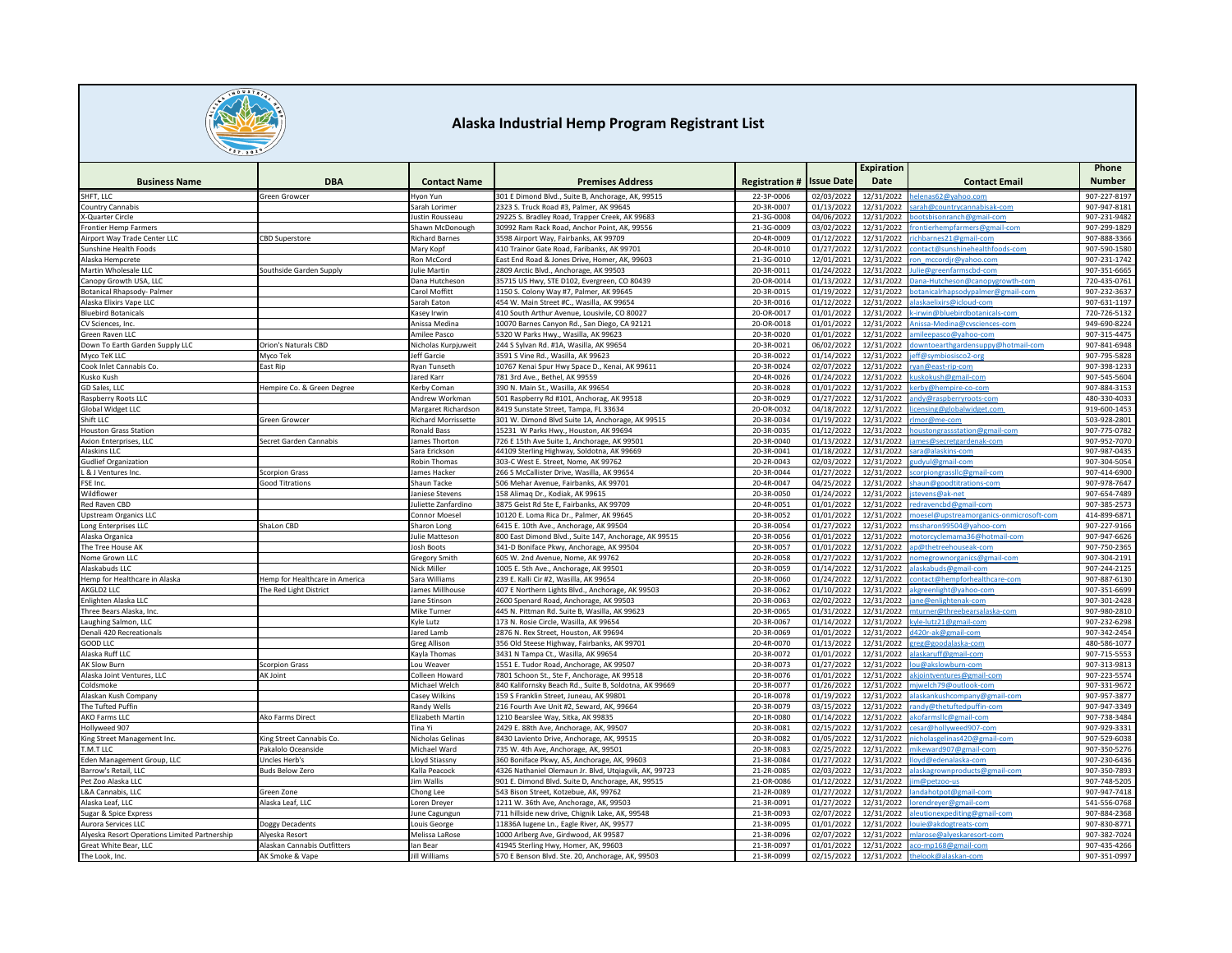

|                                                    |                                |                             |                                                                                    |                          |                          | Expiration               |                                              | Phone                        |
|----------------------------------------------------|--------------------------------|-----------------------------|------------------------------------------------------------------------------------|--------------------------|--------------------------|--------------------------|----------------------------------------------|------------------------------|
| <b>Business Name</b>                               | <b>DBA</b>                     | <b>Contact Name</b>         | <b>Premises Address</b>                                                            | <b>Registration#</b>     | <b>Issue Date</b>        | Date                     | <b>Contact Email</b>                         | <b>Number</b>                |
| SHFT, LLC                                          | Green Growcer                  | Ivon Yun                    | 301 E Dimond Blyd., Suite B. Anchorage, AK, 99515                                  | 22-3P-0006               | 02/03/2022               | 12/31/2022               | lenas62@yahoo.com                            | 907-227-8197                 |
| <b>Country Cannabis</b>                            |                                | Sarah Lorimer               | 2323 S. Truck Road #3, Palmer, AK 99645                                            | 20-3R-0007               | 01/13/2022               | 12/31/2022               | arah@countrycannabisak-com                   | 907-947-8181                 |
| -Quarter Circle                                    |                                | lustin Rousseau             | 29225 S. Bradley Road, Trapper Creek, AK 99683                                     | 21-3G-0008               | 04/06/2022               | 12/31/2022               | notshisonranch@gmail-cor                     | 907-231-9482                 |
| Frontier Hemp Farmers                              |                                | hawn McDonough              | 0992 Ram Rack Road, Anchor Point, AK, 99556                                        | 21-3G-0009               | 03/02/2022               | 12/31/2022               | ontierhempfarmers@gmail-com                  | 907-299-1829                 |
| Airport Way Trade Center LLC                       | <b>BD Superstore</b>           | Richard Barnes              | 3598 Airport Way, Fairbanks, AK 99709                                              | 20-4R-0009               | 01/12/2022               | 12/31/2022               | chbarnes21@gmail-com                         | 907-888-3366                 |
| Sunshine Health Foods                              |                                | Mary Kopf                   | 410 Trainor Gate Road, Faribanks, AK 99701                                         | 20-4R-0010               | 01/27/2022               | 12/31/2022               | ontact@sunshinehealthfoods-com               | 907-590-1580                 |
| Alaska Hempcrete                                   |                                | on McCord                   | East End Road & Jones Drive, Homer, AK, 99603                                      | 21-3G-0010               | 12/01/2021               | 12/31/2022               | on_mccordjr@yahoo.com                        | 907-231-1742                 |
| Martin Wholesale LLC                               | Southside Garden Supply        | ulie Martin                 | 2809 Arctic Blvd., Anchorage, AK 99503                                             | 20-3R-0011               | 01/24/2022               | 12/31/2022               | lie@greenfarmscbd-com                        | 907-351-6665                 |
| Canopy Growth USA, LLC                             |                                | Dana Hutcheson              | 35715 US Hwy, STE D102, Evergreen, CO 80439                                        | 20-OR-0014               | 01/13/2022               | 12/31/2022               | ana-Hutcheson@canopygrowth-com               | 720-435-0761                 |
| <b>Botanical Rhapsody- Palmer</b>                  |                                | Carol Moffitt               | 1150 S. Colony Way #7, Palmer, AK 99645                                            | 20-3R-0015               | 01/19/2022               | 12/31/2022               | otanicalrhapsodypalmer@gmail-com             | 907-232-3637                 |
| Alaska Elixirs Vape LLC                            |                                | Sarah Eaton                 | 454 W. Main Street #C., Wasilla, AK 99654                                          | 20-3R-0016               | 01/12/2022               | 12/31/2022               | laskaelixirs@icloud-con                      | 907-631-1197                 |
| <b>Bluebird Botanicals</b>                         |                                | Kasey Irwin                 | 410 South Arthur Avenue, Lousivile, CO 80027                                       | 20-OR-0017               | 01/01/2022               | 12/31/2022               | -irwin@bluebirdbotanicals-com                | 720-726-5132                 |
| CV Sciences, Inc.                                  |                                | Anissa Medina               | 10070 Barnes Canyon Rd., San Diego, CA 92121                                       | 20-OR-0018               | 01/01/2022               | 12/31/2022               | nissa-Medina@cvsciences-com                  | 949-690-8224                 |
| Green Raven LLC                                    |                                | Amilee Pasco                | 5320 W Parks Hwy., Wasilla, AK 99623                                               | 20-3R-0020               | 01/01/2022               | 12/31/2022               | ileepasco@yahoo-com                          | 907-315-4475                 |
| Down To Earth Garden Supply LLC                    | <b>Orion's Naturals CBD</b>    | Nicholas Kurpjuweit         | 244 S Sylvan Rd. #1A, Wasilla, AK 99654                                            | 20-3R-0021               | 06/02/2022               | 12/31/2022               | wntoearthgardensuppy@hotmail-con             | 907-841-6948                 |
| Myco TeK LLC                                       | Myco Tek                       | Jeff Garcie                 | 3591 S Vine Rd., Wasilla, AK 99623                                                 | 20-3R-0022               | 01/14/2022               | 12/31/2022               | eff@symbiosisco2-org                         | 907-795-5828                 |
| Cook Inlet Cannabis Co.                            | East Rip                       | Ryan Tunseth                | 10767 Kenai Spur Hwy Space D., Kenai, AK 99611                                     | 20-3R-0024               | 02/07/2022               | 12/31/2022               | van@east-rip-com                             | 907-398-1233                 |
| Kusko Kush                                         |                                | Jared Karr                  | 781 3rd Ave., Bethel, AK 99559                                                     | 20-4R-0026               | 01/24/2022               | 12/31/2022               | uskokush@gmail-com                           | 907-545-5604                 |
| GD Sales, LLC                                      | Hempire Co. & Green Degree     | Kerby Comar                 | 390 N. Main St., Wasilla, AK 99654                                                 | 20-3R-0028               | 01/01/2022               | 12/31/2022               | rbv@hempire-co-con                           | 907-884-3153                 |
| Raspberry Roots LLC                                |                                | Andrew Workman              | 501 Raspberry Rd #101, Anchorag, AK 99518                                          | 20-3R-0029               | 01/27/2022               | 12/31/2022               | ndy@raspberryroots-com                       | 480-330-4033                 |
| <b>Global Widget LLC</b>                           |                                | Margaret Richardson         | 8419 Sunstate Street, Tampa, FL 33634                                              | 20-OR-0032               | 04/18/2022               | 12/31/2022               | censing@globalwidget.con                     | 919-600-145                  |
| Shift LLC                                          | <b>Green Growcer</b>           | tichard Morrissette         | 301 W. Dimond Blvd Suite 1A, Anchorage, AK 99515                                   | 20-3R-0034               | 01/19/202                | 12/31/2022               | nor@me-com                                   | 503-928-2801                 |
| louston Grass Station                              |                                | tonald Bass                 | 5231 W Parks Hwy., Houston, AK 99694                                               | 20-3R-0035               | 01/12/202                | 12/31/2022               | oustongrassstation@gmail-com                 | 907-775-0782                 |
| Axion Enterprises, LLC                             | Secret Garden Cannabis         | ames Thorton                | 726 E 15th Ave Suite 1, Anchorage, AK 99501                                        | 20-3R-0040               | 01/13/2022               | 12/31/2022               | ames@secretgardenak-com<br>ara@alaskins-com  | 907-952-7070                 |
| Alaskins LLC                                       |                                | ara Erickson                | 44109 Sterling Highway, Soldotna, AK 99669                                         | 20-3R-0041<br>20-2R-0043 | 01/18/2022<br>02/03/2022 | 12/31/2022               |                                              | 907-987-0435<br>907-304-5054 |
| <b>Gudlief Organization</b><br>L & J Ventures Inc. | <b>Scorpion Grass</b>          | Robin Thomas<br>ames Hacker | 303-C West E. Street, Nome, AK 99762<br>266 S McCallister Drive, Wasilla, AK 99654 | 20-3R-0044               | 01/27/2022               | 12/31/2022<br>12/31/2022 | udyul@gmail-com<br>corpiongrasslic@gmail-com | 907-414-6900                 |
| FSE Inc.                                           | <b>Good Titrations</b>         | Shaun Tacke                 | 506 Mehar Avenue, Fairbanks, AK 99701                                              | 20-4R-0047               | 04/25/2022               | 12/31/2022               |                                              | 907-978-7647                 |
| Wildflower                                         |                                | laniese Stevens             | 158 Alimag Dr., Kodiak, AK 99615                                                   | 20-3R-0050               | 01/24/2022               | 12/31/2022               | haun@goodtitrations-com<br>tevens@ak-net     | 907-654-7489                 |
| Red Raven CBD                                      |                                | uliette Zanfardino          | 3875 Geist Rd Ste E, Fairbanks, AK 99709                                           | 20-4R-0051               | 01/01/2022               | 12/31/2022               | dravencbd@gmail-com                          | 907-385-2573                 |
| Upstream Organics LLC                              |                                | Connor Moesel               | 10120 E. Loma Rica Dr., Palmer, AK 99645                                           | 20-3R-0052               | 01/01/2022               | 12/31/2022               | besel@upstreamorganics-onmicrosoft-com       | 414-899-6871                 |
| Long Enterprises LLC                               | ShaLon CBD                     | Sharon Long                 | 5415 E. 10th Ave., Anchorage, AK 99504                                             | 20-3R-0054               | 01/27/2022               | 12/31/2022               | ssharon99504@yahoo-com                       | 907-227-9166                 |
| Alaska Organica                                    |                                | <b>Julie Matteson</b>       | 800 East Dimond Blvd., Suite 147, Anchorage, AK 99515                              | 20-3R-0056               | 01/01/2022               | 12/31/2022               | notorcyclemama36@hotmail-com                 | 907-947-6626                 |
| The Tree House AK                                  |                                | <b>Iosh Boots</b>           | 341-D Boniface Pkwy, Anchorage, AK 99504                                           | 20-3R-0057               | 01/01/2022               | 12/31/2022               | @thetreehouseak-cor                          | 907-750-2365                 |
| Nome Grown LLC                                     |                                | Gregory Smith               | 505 W. 2nd Avenue, Nome, AK 99762                                                  | 20-2R-0058               | 01/27/2022               | 12/31/2022               | omegrownorganics@gmail-com                   | 907-304-2191                 |
| Alaskabuds LLC                                     |                                | Nick Miller                 | 1005 E. 5th Ave., Anchorage, AK 99501                                              | 20-3R-0059               | 01/14/2022               | 12/31/2022               | alaskabuds@gmail-com                         | 907-244-2125                 |
| Hemp for Healthcare in Alaska                      | Hemp for Healthcare in America | Sara Williams               | 239 E. Kalli Cir #2. Wasilla, AK 99654                                             | 20-3R-0060               | 01/24/2022               | 12/31/2022               | ontact@hempforhealthcare-com                 | 907-887-6130                 |
| AKGLD2 LLC                                         | The Red Light District         | ames Millhouse              | 407 E Northern Lights Blvd., Anchorage, AK 99503                                   | 20-3R-0062               | 01/10/2022               | 12/31/2022               | cgreenlight@vahoo-con                        | 907-351-6699                 |
| Enlighten Alaska LLC                               |                                | ane Stinson                 | 1600 Spenard Road, Anchorage, AK 99503                                             | 20-3R-0063               | 02/02/2022               | 12/31/2022               | ane@enlightenak-com                          | 907-301-2428                 |
| Three Bears Alaska, Inc.                           |                                | Mike Turner                 | 445 N. Pittman Rd. Suite B, Wasilla, AK 99623                                      | 20-3R-0065               | 01/31/2022               | 12/31/2022               | mturner@threebearsalaska-com                 | 907-980-2810                 |
| Laughing Salmon, LLC                               |                                | Kyle Lutz                   | 173 N. Rosie Circle, Wasilla, AK 99654                                             | 20-3R-0067               | 01/14/2022               | 12/31/2022               | cyle-lutz21@gmail-com                        | 907-232-6298                 |
| Denali 420 Recreationals                           |                                | lared Lamb                  | 2876 N. Rex Street, Houston, AK 99694                                              | 20-3R-0069               | 01/01/2022               | 12/31/2022               | 1420r-ak@gmail-com                           | 907-342-2454                 |
| GOOD LLC                                           |                                | Greg Allison                | 356 Old Steese Highway, Fairbanks, AK 99701                                        | 20-4R-0070               | 01/13/2022               | 12/31/2022               | reg@goodalaska-com                           | 480-586-1077                 |
| Alaska Ruff LLO                                    |                                | Kayla Thomas                | 3431 N Tampa Ct., Wasilla, AK 99654                                                | 20-3R-0072               | 01/01/2022               | 12/31/2022               | laskaruff@gmail-com                          | 907-715-555                  |
| AK Slow Burn                                       | <b>Scorpion Grass</b>          | Lou Weaver                  | 1551 E. Tudor Road, Anchorage, AK 99507                                            | 20-3R-0073               | 01/27/2022               | 12/31/2022               | u@akslowburn-com                             | 907-313-9813                 |
| Alaska Joint Ventures, LLC                         | AK Joint                       | Colleen Howard              | 7801 Schoon St., Ste F, Anchorage, AK 99518                                        | 20-3R-0076               | 01/01/2022               | 12/31/2022               | sjointventures@gmail-com                     | 907-223-5574                 |
| Coldsmoke                                          |                                | Michael Welch               | 840 Kalifornsky Beach Rd., Suite B, Soldotna, AK 99669                             | 20-3R-0077               | 01/26/2022               | 12/31/2022               | njwelch79@outlook-com                        | 907-331-9672                 |
| Alaskan Kush Company                               |                                | Casey Wilkins               | 159 S Franklin Street, Juneau, AK 99801                                            | 20-1R-0078               | 01/19/2022               | 12/31/2022               | laskankushcompany@gmail-com                  | 907-957-3877                 |
| The Tufted Puffin                                  |                                | Randy Wells                 | 216 Fourth Ave Unit #2, Seward, AK, 99664                                          | 20-3R-0079               | 03/15/2022               | 12/31/2022               | andy@thetuftedpuffin-cor                     | 907-947-3349                 |
| AKO Farms LLC                                      | Ako Farms Direct               | Elizabeth Martin            | 1210 Bearslee Way, Sitka, AK 99835                                                 | 20-1R-0080               | 01/14/2022               | 12/31/2022               | kofarmsllc@gmail-com                         | 907-738-3484                 |
| Hollyweed 907                                      |                                | Tina Yi                     | 2429 E. 88th Ave, Anchorage, AK, 99507                                             | 20-3R-0081               | 02/15/2022               | 12/31/2022               | esar@hollyweed907-com                        | 907-929-3331                 |
| King Street Management Inc.                        | King Street Cannabis Co.       | Nicholas Gelinas            | 8430 Laviento Drive, Anchorage, AK, 99515                                          | 20-3R-0082               | 01/05/2022               | 12/31/2022               | icholas gelinas 420@gmail-com                | 907-529-6038                 |
| T.M.T LLC                                          | Pakalolo Oceanside             | Michael Ward                | 735 W. 4th Ave, Anchorage, AK, 99501                                               | 20-3R-0083               | 02/25/2022               | 12/31/2022               | ikeward907@gmail-con                         | 907-350-5276                 |
| Eden Management Group, LLC                         | Uncles Herb's                  | loyd Stiassny               | 360 Boniface Pkwy, A5, Anchorage, AK, 99603                                        | 21-3R-0084               | 01/27/2022               | 12/31/2022               | ovd@edenalaska-com                           | 907-230-6436                 |
| Barrow's Retail, LLC                               | <b>Buds Below Zero</b>         | Kalla Peacock               | 4326 Nathaniel Olemaun Jr. Blvd, Utqiagvik, AK, 99723                              | 21-2R-0085               | 02/03/2022               | 12/31/2022               | laskagrownproducts@gmail-com                 | 907-350-789                  |
| Pet Zoo Alaska LLC                                 |                                | lim Wallis                  | 901 E. Dimond Blvd. Suite D, Anchorage, AK, 99515                                  | 21-OR-0086               | 01/12/202                | 12/31/2022               | n@netzoo-us                                  | 907-748-520                  |
| L&A Cannabis, LLC                                  | Green Zone                     | hong Lee                    | 543 Bison Street, Kotzebue, AK, 99762                                              | 21-2R-0089               | 01/27/2022               | 12/31/2022               | ndahotpot@gmail-com                          | 907-947-7418                 |
| Alaska Leaf, LLC                                   | Alaska Leaf, LLC               | oren Dreyer                 | 1211 W. 36th Ave, Anchorage, AK, 99503                                             | 21-3R-0091               | 01/27/2022               | 12/31/2022               | orendreyer@gmail-com                         | 541-556-0768                 |
| Sugar & Spice Express                              |                                | une Cagungur                | 711 hillside new drive, Chignik Lake, AK, 99548                                    | 21-3R-0093               | 02/07/2022               | 12/31/2022               | leutionexpediting@gmail-com                  | 907-884-2368                 |
| Aurora Services LLC                                | Doggy Decadents                | Louis George                | 11836A lugene Ln., Eagle River, AK, 99577                                          | 21-3R-0095               | 01/01/2022               | 12/31/2022               | uie@akdogtreats-con                          | 907-830-8771                 |
| Alyeska Resort Operations Limited Partnership      | Alveska Resort                 | Melissa LaRose              | 000 Arlberg Ave, Girdwood, AK 9958.                                                | 21-3R-0096               | 02/07/202                | 12/31/2022               | nlarose@alyeskaresort-com                    | 907-382-7024                 |
| Great White Bear, LLC                              | Alaskan Cannabis Outfitters    | an Bear                     | 41945 Sterling Hwy, Homer, AK, 99603                                               | 21-3R-0097               | 01/01/2022               | 12/31/2022               | aco-mp168@gmail-com                          | 907-435-4266                 |
| The Look, Inc.                                     | AK Smoke & Vape                | <b>Jill Williams</b>        | 570 E Benson Blvd. Ste. 20, Anchorage, AK, 99503                                   | 21-3R-0099               | 02/15/2022               | 12/31/2022               | thelook@alaskan-com                          | 907-351-0997                 |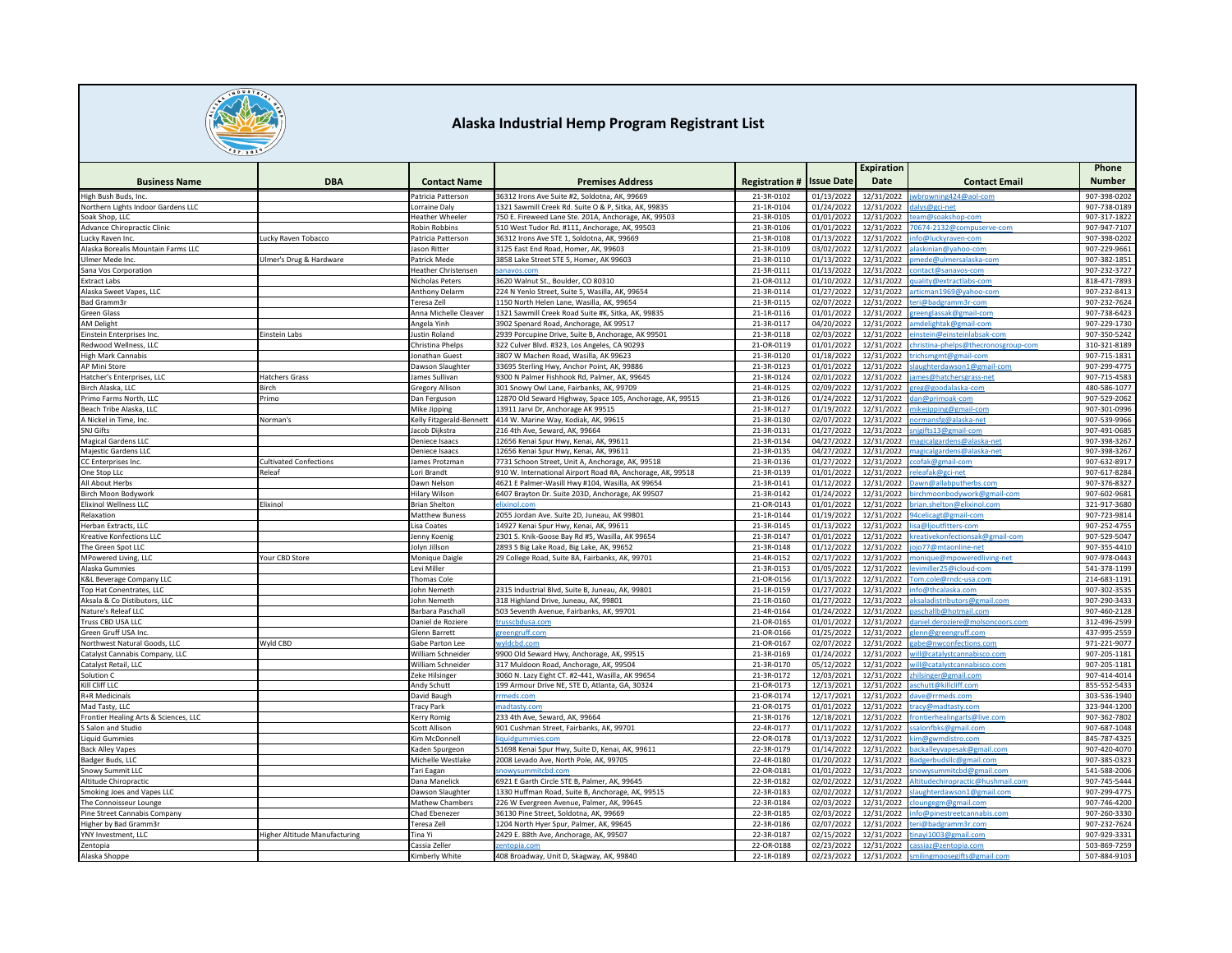

|                                                        |                                      |                                                                                                                                                                                                 |                                                                                    |                          |                          | Expiration               |                                          | Phone                        |
|--------------------------------------------------------|--------------------------------------|-------------------------------------------------------------------------------------------------------------------------------------------------------------------------------------------------|------------------------------------------------------------------------------------|--------------------------|--------------------------|--------------------------|------------------------------------------|------------------------------|
| <b>Business Name</b>                                   | <b>DBA</b>                           | <b>Contact Name</b>                                                                                                                                                                             | <b>Premises Address</b>                                                            | <b>Registration #</b>    | <b>Issue Date</b>        | Date                     | <b>Contact Email</b>                     | <b>Number</b>                |
| High Bush Buds, Inc.                                   |                                      | Patricia Patterson                                                                                                                                                                              | 36312 Irons Ave Suite #2, Soldotna, AK, 99669                                      | 21-3R-0102               | 01/13/2022               | 12/31/2022               | wbrowning424@aol-com                     | 907-398-0202                 |
| Northern Lights Indoor Gardens LLC                     |                                      | orraine Daly                                                                                                                                                                                    | 1321 Sawmill Creek Rd. Suite O & P. Sitka, AK. 99835                               | 21-1R-0104               | 01/24/2022               | 12/31/2022               | alvs@gci-net                             | 907-738-0189                 |
| Soak Shop, LLC                                         |                                      | Heather Wheeler                                                                                                                                                                                 | 750 E. Fireweed Lane Ste. 201A, Anchorage, AK, 99503                               | 21-3R-0105               | 01/01/2022               | 12/31/2022               | am@soakshop-com                          | 907-317-1822                 |
| Advance Chiropractic Clinic                            |                                      | Robin Robbins                                                                                                                                                                                   | 510 West Tudor Rd. #111, Anchorage, AK, 99503                                      | 21-3R-0106               | 01/01/2022               | 12/31/2022               | 0674-2132@compuserve-com                 | 907-947-7107                 |
| Lucky Raven Inc.<br>Alaska Borealis Mountain Farms LLC | Lucky Raven Tobacco                  | Patricia Patterson<br>lason Ritter                                                                                                                                                              | 36312 Irons Ave STE 1, Soldotna, AK, 99669<br>3125 East End Road, Homer, AK, 99603 | 21-3R-0108<br>21-3R-0109 | 01/13/2022<br>03/02/2022 | 12/31/2022<br>12/31/2022 | nfo@luckyraven-com<br>askinian@vahoo-com | 907-398-0202<br>907-229-9661 |
| Jimer Mede Inc.                                        | Ulmer's Drug & Hardware              | Patrick Mede                                                                                                                                                                                    | 3858 Lake Street STE 5, Homer, AK 99603                                            | 21-3R-0110               | 01/13/2022               | 12/31/2022               | ede@ulmersalaska-con                     | 907-382-1851                 |
| Sana Vos Corporation                                   |                                      | leather Christensen                                                                                                                                                                             | anavos.com                                                                         | 21-3R-0111               | 01/13/2022               | 12/31/2022               | ontact@sanavos-com                       | 907-232-3727                 |
| <b>Extract Labs</b>                                    |                                      | Nicholas Peters                                                                                                                                                                                 | 3620 Walnut St., Boulder, CO 80310                                                 | 21-OR-0112               | 01/10/2022               | 12/31/2022               | uality@extractlabs-com                   | 818-471-789                  |
| Alaska Sweet Vapes, LLC                                |                                      | Anthony Delarm                                                                                                                                                                                  | 224 N Yenlo Street, Suite 5, Wasilla, AK, 99654                                    | 21-3R-0114               | 01/27/202                | 12/31/2022               | rticman1969@yahoo-com                    | 907-232-841                  |
| Bad Gramm3r                                            |                                      | eresa Zell                                                                                                                                                                                      | 150 North Helen Lane, Wasilla, AK, 99654                                           | 21-3R-0115               | 02/07/2022               | 12/31/2022               | ri@badgramm3r-com                        | 907-232-7624                 |
| Green Glass                                            |                                      | Anna Michelle Cleaver                                                                                                                                                                           | 1321 Sawmill Creek Road Suite #K, Sitka, AK, 99835                                 | 21-1R-0116               | 01/01/2022               | 12/31/2022               | reenglassak@gmail-com                    | 907-738-6423                 |
| <b>AM Delight</b>                                      |                                      | Angela Yinh                                                                                                                                                                                     | 3902 Spenard Road, Anchorage, AK 99517                                             | 21-3R-0117               | 04/20/2022               | 12/31/2022               | mdelightak@gmail-com                     | 907-229-1730                 |
| instein Enterprises Inc.                               | Einstein Labs                        | ustin Roland                                                                                                                                                                                    | 2939 Porcupine Drive, Suite B, Anchorage, AK 99501                                 | 21-3R-0118               | 02/03/2022               | 12/31/2022               | stein@einsteinlabsak-con                 | 907-350-5242                 |
| Redwood Wellness, LLC                                  |                                      | Christina Phelps                                                                                                                                                                                | 322 Culver Blvd. #323, Los Angeles, CA 90293                                       | 21-OR-0119               | 01/01/2022               | 12/31/2022               | nristina-phelps@thecronosgroup-com       | 310-321-8189                 |
| <b>High Mark Cannabis</b>                              |                                      | Ionathan Guest                                                                                                                                                                                  | 3807 W Machen Road, Wasilla, AK 99623                                              | 21-3R-0120               | 01/18/2022               | 12/31/2022               | richsmgmt@gmail-com                      | 907-715-1831                 |
| AP Mini Store                                          |                                      | Dawson Slaughter                                                                                                                                                                                | 33695 Sterling Hwy, Anchor Point, AK, 99886                                        | 21-3R-0123               | 01/01/2022               | 12/31/2022               | laughterdawson1@gmail-com                | 907-299-4775                 |
| Hatcher's Enterprises, LLC                             | <b>Hatchers Grass</b>                | lames Sullivan                                                                                                                                                                                  | 9300 N Palmer Fishhook Rd, Palmer, AK, 99645                                       | 21-3R-0124               | 02/01/2022               | 12/31/2022               | mes@hatchersgrass-net                    | 907-715-4583                 |
| Birch Alaska, LLC                                      | Birch                                | Gregory Allison                                                                                                                                                                                 | 301 Snowy Owl Lane, Fairbanks, AK, 99709                                           | 21-4R-0125               | 02/09/2022               | 12/31/2022               | reg@goodalaska-com                       | 480-586-1077                 |
| Primo Farms North, LLC                                 | Primo                                | Dan Ferguson                                                                                                                                                                                    | 12870 Old Seward Highway, Space 105, Anchorage, AK, 99515                          | 21-3R-0126               | 01/24/2022               | 12/31/2022               | dan@primoak-com                          | 907-529-2062                 |
| Beach Tribe Alaska, LLC                                |                                      | Mike Jipping                                                                                                                                                                                    | 13911 Jarvi Dr, Anchorage AK 99515                                                 | 21-3R-0127               | 01/19/2022               | 12/31/2022               | ikeiipping@gmail-con                     | 907-301-0996                 |
| A Nickel in Time, Inc.                                 | Norman's                             | <elly fitzgerald-bennett<="" td=""><td>414 W. Marine Way, Kodiak, AK, 99615</td><td>21-3R-0130</td><td>02/07/2022</td><td>12/31/2022</td><td>mansfg@alaska-net</td><td>907-539-9966</td></elly> | 414 W. Marine Way, Kodiak, AK, 99615                                               | 21-3R-0130               | 02/07/2022               | 12/31/2022               | mansfg@alaska-net                        | 907-539-9966                 |
| SNJ Gifts                                              |                                      | lacob Diikstra                                                                                                                                                                                  | 16 4th Ave, Seward, AK, 99664                                                      | 21-3R-0131               | 01/27/2022               | 12/31/2022               | igifts13@gmail-com                       | 907-491-0685                 |
| Magical Gardens LLC                                    |                                      | Deniece Isaacs                                                                                                                                                                                  | 12656 Kenai Spur Hwy, Kenai, AK, 99611                                             | 21-3R-0134               | 04/27/2022               | 12/31/2022               | nagicalgardens@alaska-net                | 907-398-3267                 |
| Majestic Gardens LLC                                   |                                      | Deniece Isaacs                                                                                                                                                                                  | 12656 Kenai Spur Hwy, Kenai, AK, 99611                                             | 21-3R-0135               | 04/27/2022               | 12/31/2022               | agicalgardens@alaska-net                 | 907-398-3267                 |
| CC Enterprises Inc.                                    | <b>Cultivated Confections</b>        | lames Protzman                                                                                                                                                                                  | 7731 Schoon Street, Unit A, Anchorage, AK, 99518                                   | 21-3R-0136               | 01/27/2022               | 12/31/2022               | ofak@gmail-con                           | 907-632-8917                 |
| One Stop LLc                                           | <b>Releaf</b>                        | ori Brandt                                                                                                                                                                                      | 910 W. International Airport Road #A, Anchorage, AK, 99518                         | 21-3R-0139               | 01/01/2022               | 12/31/2022               | eafak@gci-net                            | 907-617-8284                 |
| All About Herbs                                        |                                      | Dawn Nelson                                                                                                                                                                                     | 4621 E Palmer-Wasill Hwy #104, Wasilla, AK 99654                                   | 21-3R-0141               | 01/12/2022               | 12/31/2022               | awn@allabputherbs.com                    | 907-376-8327                 |
| Birch Moon Bodywork                                    |                                      | Hilary Wilson                                                                                                                                                                                   | 6407 Brayton Dr. Suite 203D, Anchorage, AK 99507                                   | 21-3R-0142               | 01/24/2022               | 12/31/2022               | irchmoonbodywork@gmail-com               | 907-602-9681                 |
| Iixinol Wellness LLC                                   | Elixinol                             | <b>Brian Shelton</b>                                                                                                                                                                            |                                                                                    | 21-OR-0143               | 01/01/2022               | 12/31/2022               | rian.shelton@elixinol.com                | 321-917-3680                 |
| Relaxation                                             |                                      | Matthew Buness                                                                                                                                                                                  | 055 Jordan Ave. Suite 2D, Juneau, AK 99801                                         | 21-1R-0144               | 01/19/2022               | 12/31/2022               | 94celicagt@gmail-com                     | 907-723-9814                 |
| Herban Extracts, LLC                                   |                                      | isa Coates                                                                                                                                                                                      | 14927 Kenai Spur Hwy, Kenai, AK, 99611                                             | 21-3R-0145               | 01/13/2022               | 12/31/2022               | isa@ljoutfitters-com                     | 907-252-4755                 |
| <b>Kreative Konfections LLC</b>                        |                                      | lenny Koeni                                                                                                                                                                                     | 2301 S. Knik-Goose Bay Rd #5, Wasilla, AK 99654                                    | 21-3R-0147               | 01/01/2022               | 12/31/2022               | creativekonfectionsak@gmail-com          | 907-529-5047                 |
| The Green Spot LLC                                     |                                      | lolyn Jillson                                                                                                                                                                                   | 2893 S Big Lake Road, Big Lake, AK, 99652                                          | 21-3R-0148               | 01/12/2022               | 12/31/2022               | jo77@mtaonline-net                       | 907-355-4410                 |
| MPowered Living, LLC                                   | Your CBD Store                       | Monique Daigle                                                                                                                                                                                  | 29 College Road, Suite 8A, Fairbanks, AK, 99701                                    | 21-4R-0152               | 02/17/2022               | 12/31/2022               | nonique@mpoweredliving-net               | 907-978-0443                 |
| Alaska Gummies                                         |                                      | Levi Miller                                                                                                                                                                                     |                                                                                    | 21-3R-0153               | 01/05/2022               | 12/31/2022               | evimiller25@icloud-com                   | 541-378-1199                 |
| <b>K&amp;L Beverage Company LLC</b>                    |                                      | Thomas Cole                                                                                                                                                                                     |                                                                                    | 21-OR-0156               | 01/13/2022               | 12/31/2022               | com.cole@rndc-usa.com                    | 214-683-1191                 |
| Top Hat Conentrates, LLC                               |                                      | ohn Nemeth                                                                                                                                                                                      | 2315 Industrial Blvd, Suite B, Juneau, AK, 99801                                   | 21-1R-0159               | 01/27/2022               | 12/31/2022               | fo@thcalaska.com                         | 907-302-3535                 |
| Aksala & Co Distibutors, LLC                           |                                      | Iohn Nemeth                                                                                                                                                                                     | 318 Highland Drive, Juneau, AK, 99801                                              | 21-1R-0160               | 01/27/2022               | 12/31/2022               | ksaladistributors@gmail.com              | 907-290-3433                 |
| Nature's Releaf LLC                                    |                                      | Barbara Paschall                                                                                                                                                                                | 503 Seventh Avenue, Fairbanks, AK, 99701                                           | 21-4R-0164               | 01/24/2022               | 12/31/2022               | aschallb@hotmail.com                     | 907-460-2128                 |
| Truss CBD USA LLC                                      |                                      | Daniel de Roziere                                                                                                                                                                               | trusscbdusa.com                                                                    | 21-OR-0165               | 01/01/2022               | 12/31/2022               | laniel.deroziere@molsoncoors.com         | 312-496-2599                 |
| Green Gruff USA Inc.                                   |                                      | Glenn Barrett                                                                                                                                                                                   | greengruff.com                                                                     | 21-OR-0166               | 01/25/2022               | 12/31/2022               | enn@greengruff.com                       | 437-995-2559                 |
| Northwest Natural Goods, LLC                           | Wyld CBD                             | Gabe Parton Lee                                                                                                                                                                                 | wyldchd.com                                                                        | 21-OR-0167               | 02/07/2022               | 12/31/2022               | abe@nwconfections.com                    | 971-221-9077                 |
| Catalyst Cannabis Company, LLC                         |                                      | William Schneider                                                                                                                                                                               | 9900 Old Seward Hwy, Anchorage, AK, 99515                                          | 21-3R-0169               | 01/24/2022               | 12/31/2022               | ill@catalystcannabisco.com               | 907-205-1181                 |
| Catalyst Retail, LLC                                   |                                      | William Schneider                                                                                                                                                                               | 317 Muldoon Road, Anchorage, AK, 99504                                             | 21-3R-0170               | 05/12/2022               | 12/31/2022               | ill@catalystcannabisco.com               | 907-205-1181                 |
| Solution C                                             |                                      | eke Hilsinger                                                                                                                                                                                   | 8060 N. Lazy Eight CT. #2-441, Wasilla, AK 99654                                   | 21-3R-0172               | 12/03/2021               | 12/31/2022               | ilsinger@gmail.com                       | 907-414-4014                 |
| Kill Cliff LLC                                         |                                      | Andy Schutt                                                                                                                                                                                     | 199 Armour Drive NE, STE D, Atlanta, GA, 30324                                     | 21-OR-0173               | 12/13/2021               | 12/31/2022               | schutt@killcliff.com                     | 855-552-5433                 |
| <b>R+R Medicinals</b>                                  |                                      | David Baugh                                                                                                                                                                                     | meds com                                                                           | 21-OR-0174               | 12/17/2021               | 12/31/2022               | ave@rrmeds.com                           | 303-536-1940                 |
| Mad Tasty, LLC                                         |                                      | <b>Tracy Park</b>                                                                                                                                                                               | nadtasty.con                                                                       | 21-OR-0175               | 01/01/2022               | 12/31/2022               | acv@madtasty.com                         | 323-944-1200                 |
| Frontier Healing Arts & Sciences, LLC                  |                                      | Kerry Romig                                                                                                                                                                                     | 233 4th Ave, Seward, AK, 99664                                                     | 21-3R-0176               | 12/18/2021               | 12/31/2022               | ntierhealingarts@live.com                | 907-362-7802                 |
| S Salon and Studio                                     |                                      | Scott Allison                                                                                                                                                                                   | 901 Cushman Street, Fairbanks, AK, 99701                                           | 22-4R-0177               | 01/11/2022               | 12/31/2022               | alonfbks@gmail.com                       | 907-687-1048                 |
| iquid Gummies                                          |                                      | Kim McDonnell                                                                                                                                                                                   |                                                                                    | 22-OR-0178               | 01/13/2022               | 12/31/2022               | m@gwmdistro.com                          | 845-787-4325                 |
| Back Alley Vapes                                       |                                      | aden Spurgeon                                                                                                                                                                                   | 51698 Kenai Spur Hwy, Suite D, Kenai, AK, 99611                                    | 22-3R-0179               | 01/14/2022               | 12/31/2022               | ackalleyvapesak@gmail.con                | 907-420-4070                 |
| Badger Buds, LLC                                       |                                      | Michelle Westlake                                                                                                                                                                               | 2008 Levado Ave, North Pole, AK, 99705                                             | 22-4R-0180               | 01/20/2022               | 12/31/2022               | adgerbudsllc@gmail.com                   | 907-385-0323                 |
| <b>Snowy Summit LLC</b>                                |                                      | <b>Tari Eagan</b>                                                                                                                                                                               | nowysummitcbd.com                                                                  | 22-OR-0181               | 01/01/2022               | 12/31/2022               | nowysummitcbd@gmail.com                  | 541-588-2006                 |
| Altitude Chiropractic                                  |                                      | Dana Manelick                                                                                                                                                                                   | 5921 E Garth Circle STE B, Palmer, AK, 99645                                       | 22-3R-0182               | 02/02/2022               | 12/31/2022               | ltitudechiropractic@hushmail.com         | 907-745-5444                 |
| Smoking Joes and Vapes LLC                             |                                      | Dawson Slaughter                                                                                                                                                                                | 1330 Huffman Road, Suite B, Anchorage, AK, 99515                                   | 22-3R-0183               | 02/02/2022               | 12/31/2022               | laughterdawson1@gmail.com                | 907-299-4775                 |
| The Connoisseur Lounge                                 |                                      | Mathew Chambers                                                                                                                                                                                 | 226 W Evergreen Avenue, Palmer, AK, 99645                                          | 22-3R-0184               | 02/03/2022               | 12/31/2022               | loungegm@gmail.com                       | 907-746-4200                 |
| Pine Street Cannabis Company                           |                                      | Chad Ebenezer                                                                                                                                                                                   | 36130 Pine Street, Soldotna, AK, 99669                                             | 22-3R-0185               | 02/03/2022               | 12/31/2022               | nfo@pinestreetcannabis.com               | 907-260-3330                 |
| ligher by Bad Gramm3r                                  |                                      | Teresa Zel                                                                                                                                                                                      | 1204 North Hyer Spur, Palmer, AK, 99645                                            | 22-3R-0186               | 02/07/2022               | 12/31/2022               | eri@badgramm3r.com                       | 907-232-7624                 |
| YNY Investment, LLC                                    | <b>Higher Altitude Manufacturing</b> | 'ina Yi                                                                                                                                                                                         | 2429 E. 88th Ave, Anchorage, AK, 99507                                             | 22-3R-0187               | 02/15/2022               | 12/31/2022               | nayi1003@gmail.com                       | 907-929-3331                 |
| Zentopia                                               |                                      | Cassia Zeller                                                                                                                                                                                   | entopia.com                                                                        | 22-OR-0188               | 02/23/2022               | 12/31/2022               | cassiaz@zentopia.com                     | 503-869-7259                 |
| Alaska Shoppe                                          |                                      | Kimberly White                                                                                                                                                                                  | 408 Broadway, Unit D, Skagway, AK, 99840                                           | 22-1R-0189               | 02/23/2022               | 12/31/2022               | milingmoosegifts@gmail.com               | 507-884-9103                 |